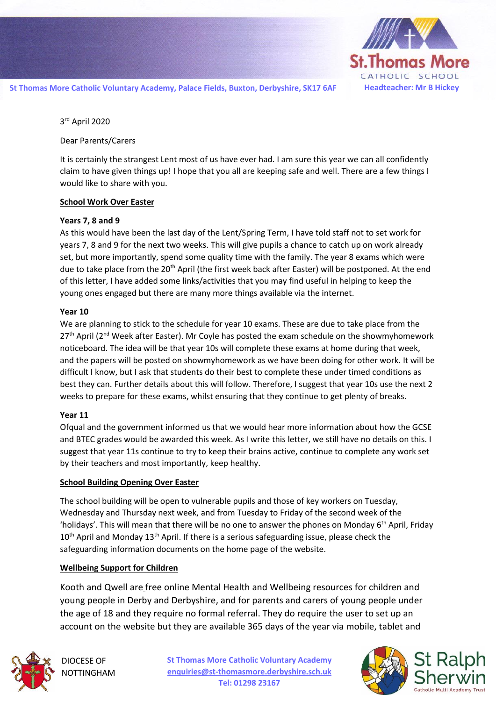

3 rd April 2020

Dear Parents/Carers

It is certainly the strangest Lent most of us have ever had. I am sure this year we can all confidently claim to have given things up! I hope that you all are keeping safe and well. There are a few things I would like to share with you.

#### **School Work Over Easter**

### **Years 7, 8 and 9**

As this would have been the last day of the Lent/Spring Term, I have told staff not to set work for years 7, 8 and 9 for the next two weeks. This will give pupils a chance to catch up on work already set, but more importantly, spend some quality time with the family. The year 8 exams which were due to take place from the 20<sup>th</sup> April (the first week back after Easter) will be postponed. At the end of this letter, I have added some links/activities that you may find useful in helping to keep the young ones engaged but there are many more things available via the internet.

### **Year 10**

We are planning to stick to the schedule for year 10 exams. These are due to take place from the  $27<sup>th</sup>$  April ( $2<sup>nd</sup>$  Week after Easter). Mr Coyle has posted the exam schedule on the showmyhomework noticeboard. The idea will be that year 10s will complete these exams at home during that week, and the papers will be posted on showmyhomework as we have been doing for other work. It will be difficult I know, but I ask that students do their best to complete these under timed conditions as best they can. Further details about this will follow. Therefore, I suggest that year 10s use the next 2 weeks to prepare for these exams, whilst ensuring that they continue to get plenty of breaks.

### **Year 11**

Ofqual and the government informed us that we would hear more information about how the GCSE and BTEC grades would be awarded this week. As I write this letter, we still have no details on this. I suggest that year 11s continue to try to keep their brains active, continue to complete any work set by their teachers and most importantly, keep healthy.

### **School Building Opening Over Easter**

The school building will be open to vulnerable pupils and those of key workers on Tuesday, Wednesday and Thursday next week, and from Tuesday to Friday of the second week of the 'holidays'. This will mean that there will be no one to answer the phones on Monday  $6<sup>th</sup>$  April, Friday  $10<sup>th</sup>$  April and Monday  $13<sup>th</sup>$  April. If there is a serious safeguarding issue, please check the safeguarding information documents on the home page of the website.

### **Wellbeing Support for Children**

Kooth and Qwell are free online Mental Health and Wellbeing resources for children and young people in Derby and Derbyshire, and for parents and carers of young people under the age of 18 and they require no formal referral. They do require the user to set up an account on the website but they are available 365 days of the year via mobile, tablet and



DIOCESE OF NOTTINGHAM

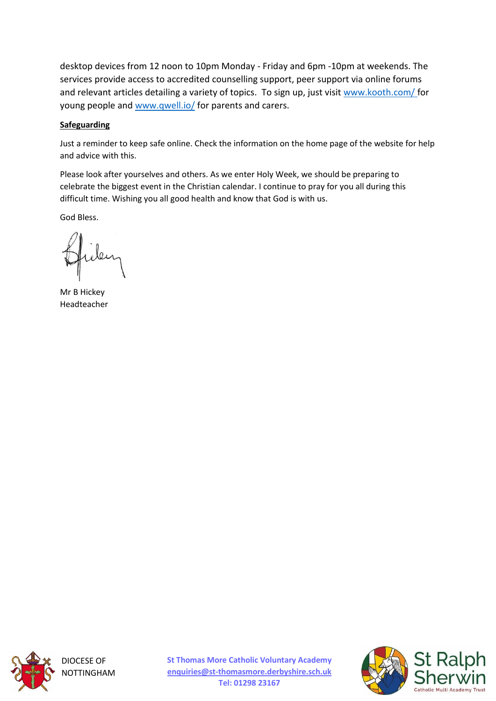desktop devices from 12 noon to 10pm Monday - Friday and 6pm -10pm at weekends. The services provide access to accredited counselling support, peer support via online forums and relevant articles detailing a variety of topics. To sign up, just visit [www.kooth.com/](http://www.kooth.com/) for young people and [www.qwell.io/](http://www.qwell.io/) for parents and carers.

### **Safeguarding**

Just a reminder to keep safe online. Check the information on the home page of the website for help and advice with this.

Please look after yourselves and others. As we enter Holy Week, we should be preparing to celebrate the biggest event in the Christian calendar. I continue to pray for you all during this difficult time. Wishing you all good health and know that God is with us.

God Bless.

Mr B Hickey Headteacher



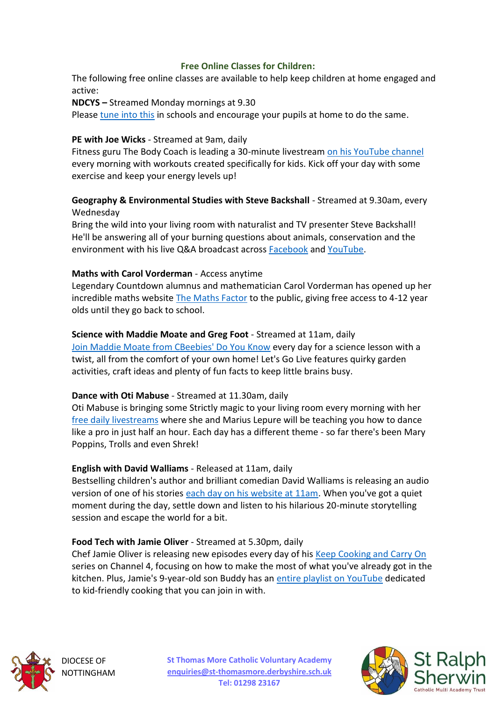## **Free Online Classes for Children:**

The following free online classes are available to help keep children at home engaged and active:

**NDCYS –** Streamed Monday mornings at 9.30

Please [tune into this](https://www.youtube.com/channel/UCP-_eQ-lNxAhDYRhy8KdP8Q) in schools and encourage your pupils at home to do the same.

### **PE with Joe Wicks** - Streamed at 9am, daily

Fitness guru The Body Coach is leading a 30-minute livestream [on his YouTube channel](https://www.youtube.com/watch?v=Rz0go1pTda8&list=PLyCLoPd4VxBvQafyve889qVcPxYEjdSTl) every morning with workouts created specifically for kids. Kick off your day with some exercise and keep your energy levels up!

## **Geography & Environmental Studies with Steve Backshall** - Streamed at 9.30am, every Wednesday

Bring the wild into your living room with naturalist and TV presenter Steve Backshall! He'll be answering all of your burning questions about animals, conservation and the environment with his live Q&A broadcast across [Facebook](https://www.facebook.com/stevebackshallofficial) and [YouTube.](https://www.youtube.com/channel/UCm-URP49TgSgyIU1rgh2m7A/?fbclid=IwAR3FxuWWE7gtQN7YSNhHOYE8i10YI3ng11ig2kYqqRZn2ylTiEXtDLggL9s)

## **Maths with Carol Vorderman** - Access anytime

Legendary Countdown alumnus and mathematician Carol Vorderman has opened up her incredible maths website [The Maths Factor](https://www.themathsfactor.com/subscribe/) to the public, giving free access to 4-12 year olds until they go back to school.

### **Science with Maddie Moate and Greg Foot** - Streamed at 11am, daily

[Join Maddie Moate from CBeebies' Do You Know](https://www.youtube.com/maddiemoate) every day for a science lesson with a twist, all from the comfort of your own home! Let's Go Live features quirky garden activities, craft ideas and plenty of fun facts to keep little brains busy.

## **Dance with Oti Mabuse** - Streamed at 11.30am, daily

Oti Mabuse is bringing some Strictly magic to your living room every morning with her [free daily livestreams](https://www.youtube.com/channel/UC58aowNEXHHnflR_5YTtP4g) where she and Marius Lepure will be teaching you how to dance like a pro in just half an hour. Each day has a different theme - so far there's been Mary Poppins, Trolls and even Shrek!

## **English with David Walliams** - Released at 11am, daily

Bestselling children's author and brilliant comedian David Walliams is releasing an audio version of one of his stories [each day on his website at 11am.](https://www.worldofdavidwalliams.com/elevenses/) When you've got a quiet moment during the day, settle down and listen to his hilarious 20-minute storytelling session and escape the world for a bit.

## **Food Tech with Jamie Oliver** - Streamed at 5.30pm, daily

Chef Jamie Oliver is releasing new episodes every day of his [Keep Cooking and Carry On](https://www.channel4.com/programmes/jamie-keep-cooking-and-carry-on/episode-guide) series on Channel 4, focusing on how to make the most of what you've already got in the kitchen. Plus, Jamie's 9-year-old son Buddy has an [entire playlist on YouTube](https://www.youtube.com/playlist?list=PLcpoB2VESJme7lSxXEcXyVtFPsMI78lcL) dedicated to kid-friendly cooking that you can join in with.



DIOCESE OF **OTTINGHAM**